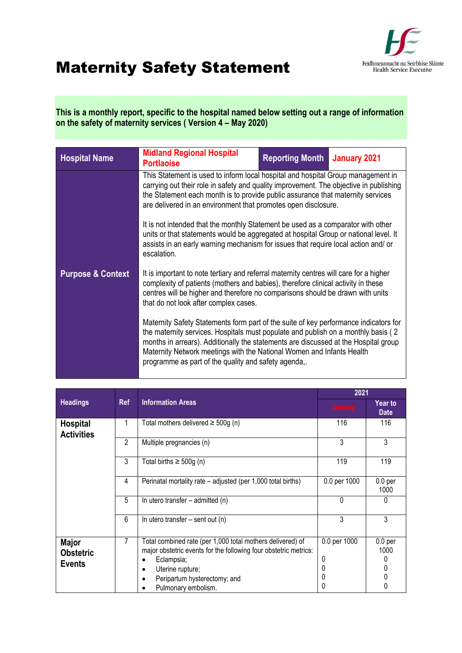

## Maternity Safety Statement

**This is a monthly report, specific to the hospital named below setting out a range of information on the safety of maternity services ( Version 4 – May 2020)** 

| <b>Hospital Name</b>         | <b>Midland Regional Hospital</b><br><b>Portlaoise</b>                                                                                                                                                                                                                                                                                                                                             | <b>Reporting Month</b>                                                                                                                                                                                                                                        | January 2021 |  |  |  |
|------------------------------|---------------------------------------------------------------------------------------------------------------------------------------------------------------------------------------------------------------------------------------------------------------------------------------------------------------------------------------------------------------------------------------------------|---------------------------------------------------------------------------------------------------------------------------------------------------------------------------------------------------------------------------------------------------------------|--------------|--|--|--|
|                              | This Statement is used to inform local hospital and hospital Group management in<br>carrying out their role in safety and quality improvement. The objective in publishing<br>the Statement each month is to provide public assurance that maternity services<br>are delivered in an environment that promotes open disclosure.                                                                   |                                                                                                                                                                                                                                                               |              |  |  |  |
|                              | It is not intended that the monthly Statement be used as a comparator with other<br>units or that statements would be aggregated at hospital Group or national level. It<br>assists in an early warning mechanism for issues that require local action and/ or<br>escalation.                                                                                                                     |                                                                                                                                                                                                                                                               |              |  |  |  |
| <b>Purpose &amp; Context</b> | that do not look after complex cases.                                                                                                                                                                                                                                                                                                                                                             | It is important to note tertiary and referral maternity centres will care for a higher<br>complexity of patients (mothers and babies), therefore clinical activity in these<br>centres will be higher and therefore no comparisons should be drawn with units |              |  |  |  |
|                              | Maternity Safety Statements form part of the suite of key performance indicators for<br>the maternity services. Hospitals must populate and publish on a monthly basis (2<br>months in arrears). Additionally the statements are discussed at the Hospital group<br>Maternity Network meetings with the National Women and Infants Health<br>programme as part of the quality and safety agenda,. |                                                                                                                                                                                                                                                               |              |  |  |  |

|                                                   |                                        |                                                                                                                                                                                                                         | 2021                             |                                           |
|---------------------------------------------------|----------------------------------------|-------------------------------------------------------------------------------------------------------------------------------------------------------------------------------------------------------------------------|----------------------------------|-------------------------------------------|
| <b>Headings</b>                                   | <b>Information Areas</b><br><b>Ref</b> |                                                                                                                                                                                                                         | <b>January</b>                   | <b>Year to</b><br><b>Date</b>             |
| <b>Hospital</b><br><b>Activities</b>              |                                        | Total mothers delivered $\geq$ 500g (n)                                                                                                                                                                                 | 116                              | 116                                       |
|                                                   | $\mathfrak{p}$                         | Multiple pregnancies (n)                                                                                                                                                                                                | 3                                | 3                                         |
|                                                   | 3                                      | Total births $\geq 500g$ (n)                                                                                                                                                                                            | 119                              | 119                                       |
|                                                   | 4                                      | Perinatal mortality rate – adjusted (per 1,000 total births)                                                                                                                                                            | 0.0 per 1000                     | 0.0 <sub>per</sub><br>1000                |
|                                                   | 5                                      | In utero transfer – admitted (n)                                                                                                                                                                                        | 0                                | 0                                         |
|                                                   | 6                                      | In utero transfer $-$ sent out (n)                                                                                                                                                                                      | 3                                | 3                                         |
| <b>Major</b><br><b>Obstetric</b><br><b>Events</b> | 7                                      | Total combined rate (per 1,000 total mothers delivered) of<br>major obstetric events for the following four obstetric metrics:<br>Eclampsia;<br>Uterine rupture;<br>Peripartum hysterectomy; and<br>Pulmonary embolism. | 0.0 per 1000<br>0<br>0<br>0<br>0 | 0.0 <sub>per</sub><br>1000<br>0<br>0<br>0 |